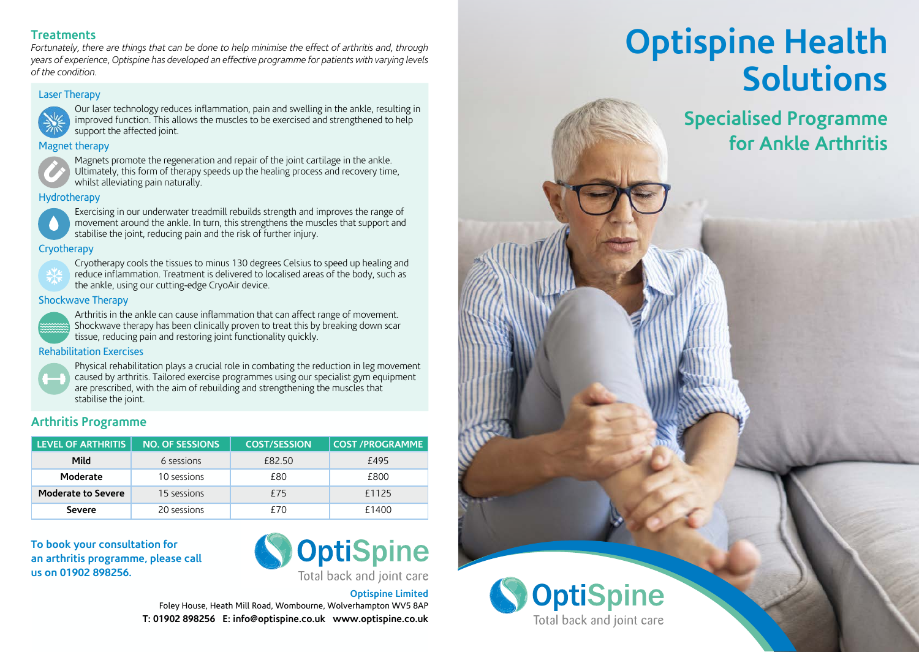### **Treatments**

*Fortunately, there are things that can be done to help minimise the effect of arthritis and, through years of experience, Optispine has developed an effective programme for patients with varying levels*  of the condition.

### Laser Therapy **developed** and the condition



 Our laser technology reduces inflammation, pain and swelling in the ankle, resulting in **Last the muscles inflammation**, paint and streaming in the similar, researing  $\overline{Z_{\parallel N}}$  support the affected joint.

### Magnet therapy **Magnet therapy**



Magnets promote the regeneration and repair of the joint cartilage in the ankle.  $\blacktriangleright$  Ultimately, this form of therapy speeds up the healing process and recovery time, **Hydrotherapy** whilst alleviating pain naturally.

### Hydrotherapy in the strength and improves the strength and improves the strength



 Exercising in our underwater treadmill rebuilds strength and improves the range of **Cryotherapy** movement around the ankle. In turn, this strengthens the muscles that support and stabilise the joint, reducing pain and the risk of further injury. support the contract of the contract paint of the contract of the contract of the contract of the contract of

### Cryotherapy



**LEVEL Cryotherapy cools the tissues to minus 130 degrees Celsius to speed up healing and READING 1922.50 Example 1** and the body, such as *Mildam at ion* areas of the body, such as **Moderate** 10 **EV** the ankle, using our cutting-edge CryoAir device.

#### **Shockwave Therapy** Separate 200 **EV**



Arthritis in the ankle can cause inflammation that can affect range of movement. **Common Shockwave therapy has been clinically proven to treat this by breaking down scare** tissue, reducing pain and restoring joint functionality quickly.

### Rehabilitation Exercises



 Physical rehabilitation plays a crucial role in combating the reduction in leg movement caused by arthritis. Tailored exercise programmes using our specialist gym equipment are prescribed, with the aim of rebuilding and strengthening the muscles that stabilise the joint.

### **Arthritis Programme**

| <b>LEVEL OF ARTHRITIS</b> | <b>NO. OF SESSIONS</b> | <b>COST/SESSION</b> | <b>COST /PROGRAMME</b> |
|---------------------------|------------------------|---------------------|------------------------|
| Mild                      | 6 sessions             | £82.50              | f495                   |
| Moderate                  | 10 sessions            | £80                 | £800                   |
| <b>Moderate to Severe</b> | 15 sessions            | f75                 | £1125                  |
| <b>Severe</b>             | 20 sessions            | £70                 | £1400                  |

**To book your consultation for an arthritis programme, please call us on 01902 898256.**



**Optispine Limited** Foley House, Heath Mill Road, Wombourne, Wolverhampton WV5 8AP **T: 01902 898256 E: info@optispine.co.uk www.optispine.co.uk**

# **Optispine Health Solutions**

**Specialised Programme for Ankle Arthritis**